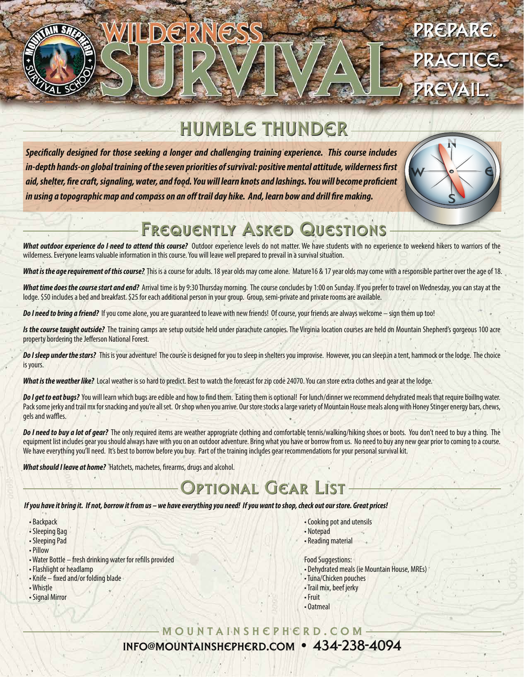

# HUMBLE THUNDER

**Specifically designed for those seeking a longer and challenging training experience. This course includes** in-depth hands-on global training of the seven priorities of survival: positive mental attitude, wilderness first *aid, shelter, re craft, signaling, water, and food. You will learn knots and lashings. You will become procient*  in using a topographic map and compass on an off trail day hike. And, learn bow and drill fire making.



## FREQUENTLY ASKED QUESTIONS

*What outdoor experience do I need to attend this course?* Outdoor experience levels do not matter. We have students with no experience to weekend hikers to warriors of the wilderness. Everyone learns valuable information in this course. You will leave well prepared to prevail in a survival situation.

**What is the age requirement of this course?** This is a course for adults. 18 year olds may come alone. Mature16 & 17 year olds may come with a responsible partner over the age of 18.

What time does the course start and end? Arrival time is by 9:30 Thursday morning. The course concludes by 1:00 on Sunday. If you prefer to travel on Wednesday, you can stay at the lodge. \$50 includes a bed and breakfast. \$25 for each additional person in your group. Group, semi-private and private rooms are available.

*Do I need to bring a friend?* If you come alone, you are guaranteed to leave with new friends! Of course, your friends are always welcome – sign them up too!

Is the course taught outside? The training camps are setup outside held under parachute canopies. The Virginia location courses are held on Mountain Shepherd's gorgeous 100 acre property bordering the Jefferson National Forest.

Do I sleep under the stars? This is your adventure! The course is designed for you to sleep in shelters you improvise. However, you can sleep in a tent, hammock or the lodge. The choice is yours.

What is the weather like? Local weather is so hard to predict. Best to watch the forecast for zip code 24070. You can store extra clothes and gear at the lodge.

Do I get to eat bugs? You will learn which bugs are edible and how to find them. Eating them is optional! For lunch/dinner we recommend dehydrated meals that require boiling water. Pack some jerky and trail mx for snacking and you're all set. Or shop when you arrive. Our store stocks a large variety of Mountain House meals along with Honey Stinger energy bars, chews, gels and waffles.

*Do I need to buy a lot of gear?* The only required items are weather appropriate clothing and comfortable tennis/walking/hiking shoes or boots. You don't need to buy a thing. The equipment list includes gear you should always have with you on an outdoor adventure. Bring what you have or borrow from us. No need to buy any new gear prior to coming to a course. We have everything you'll need. It's best to borrow before you buy. Part of the training includes gear recommendations for your personal survival kit.

**What should I leave at home?** Hatchets, machetes, firearms, drugs and alcohol.

## TIONAL GEAR LIST

#### *If you have it bring it. If not, borrow it from us – we have everything you need! If you want to shop, check out our store. Great prices!*

- Backpack
- Sleeping Bag
- Sleeping Pad
- Pillow
- Water Bottle fresh drinking water for refills provided
- Flashlight or headlamp
- Knife fixed and/or folding blade
- Whistle
- Signal Mirror
- Cooking pot and utensils
- Notepad
- Reading material
- Food Suggestions:
- Dehydrated meals (ie Mountain House, MREs)
- Tuna/Chicken pouches
- Trail mix, beef jerky
- Fruit
- Oatmeal

mountainshepherd.com info@mountainshepherd.com • 434-238-4094